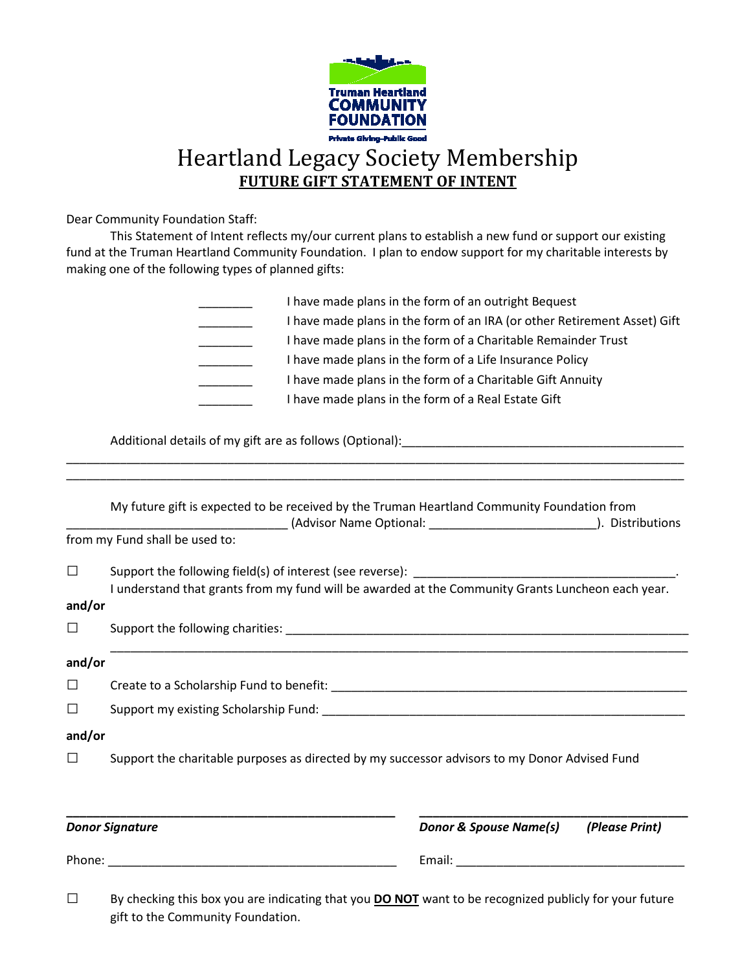

Dear Community Foundation Staff:

 This Statement of Intent reflects my/our current plans to establish a new fund or support our existing fund at the Truman Heartland Community Foundation. I plan to endow support for my charitable interests by making one of the following types of planned gifts:

| I have made plans in the form of an outright Bequest                     |
|--------------------------------------------------------------------------|
| I have made plans in the form of an IRA (or other Retirement Asset) Gift |
| I have made plans in the form of a Charitable Remainder Trust            |
| I have made plans in the form of a Life Insurance Policy                 |
| I have made plans in the form of a Charitable Gift Annuity               |
| I have made plans in the form of a Real Estate Gift                      |

Additional details of my gift are as follows (Optional): \_\_\_\_\_\_\_\_\_\_\_\_\_\_\_\_\_\_\_\_\_\_\_

|        |                                                                                                                                                                                                 | Email: Email: Email: Email: Email: Email: Email: Email: Email: Email: Email: Email: Email: Email: Email: Email: Email: Email: Email: Email: Email: Email: Email: Email: Email: Email: Email: Email: Email: Email: Email: Email |                |  |
|--------|-------------------------------------------------------------------------------------------------------------------------------------------------------------------------------------------------|--------------------------------------------------------------------------------------------------------------------------------------------------------------------------------------------------------------------------------|----------------|--|
|        | <b>Donor Signature</b>                                                                                                                                                                          | <b>Donor &amp; Spouse Name(s)</b>                                                                                                                                                                                              | (Please Print) |  |
| $\Box$ | Support the charitable purposes as directed by my successor advisors to my Donor Advised Fund                                                                                                   |                                                                                                                                                                                                                                |                |  |
| and/or |                                                                                                                                                                                                 |                                                                                                                                                                                                                                |                |  |
| $\Box$ |                                                                                                                                                                                                 |                                                                                                                                                                                                                                |                |  |
| □      |                                                                                                                                                                                                 |                                                                                                                                                                                                                                |                |  |
| and/or |                                                                                                                                                                                                 |                                                                                                                                                                                                                                |                |  |
| $\Box$ |                                                                                                                                                                                                 |                                                                                                                                                                                                                                |                |  |
| and/or |                                                                                                                                                                                                 |                                                                                                                                                                                                                                |                |  |
|        | I understand that grants from my fund will be awarded at the Community Grants Luncheon each year.                                                                                               |                                                                                                                                                                                                                                |                |  |
| П      |                                                                                                                                                                                                 |                                                                                                                                                                                                                                |                |  |
|        | from my Fund shall be used to:                                                                                                                                                                  |                                                                                                                                                                                                                                |                |  |
|        | My future gift is expected to be received by the Truman Heartland Community Foundation from<br>________________________(Advisor Name Optional: ________________________________). Distributions |                                                                                                                                                                                                                                |                |  |

\_\_\_\_\_\_\_\_\_\_\_\_\_\_\_\_\_\_\_\_\_\_\_\_\_\_\_\_\_\_\_\_\_\_\_\_\_\_\_\_\_\_\_\_\_\_\_\_\_\_\_\_\_\_\_\_\_\_\_\_\_\_\_\_\_\_\_\_\_\_\_\_\_\_\_\_\_\_\_\_\_\_\_\_\_\_\_\_\_\_\_\_

gift to the Community Foundation.